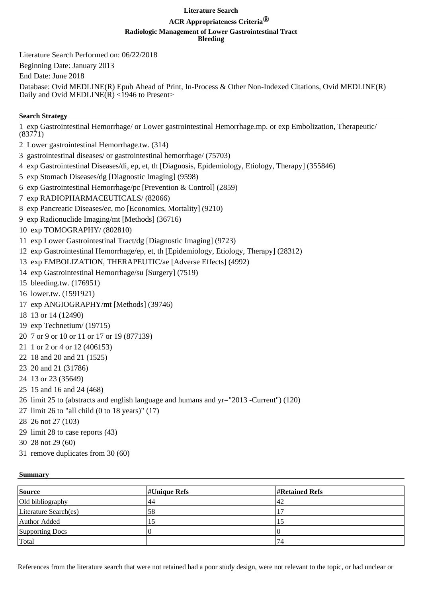## **Literature Search**

# **ACR Appropriateness Criteria®**

#### **Radiologic Management of Lower Gastrointestinal Tract**

**Bleeding**

Literature Search Performed on: 06/22/2018

Beginning Date: January 2013

End Date: June 2018

Database: Ovid MEDLINE(R) Epub Ahead of Print, In-Process & Other Non-Indexed Citations, Ovid MEDLINE(R) Daily and Ovid MEDLINE $(R)$  <1946 to Present>

# **Search Strategy**

1 exp Gastrointestinal Hemorrhage/ or Lower gastrointestinal Hemorrhage.mp. or exp Embolization, Therapeutic/ (83771)

- 2 Lower gastrointestinal Hemorrhage.tw. (314)
- 3 gastrointestinal diseases/ or gastrointestinal hemorrhage/ (75703)
- 4 exp Gastrointestinal Diseases/di, ep, et, th [Diagnosis, Epidemiology, Etiology, Therapy] (355846)
- 5 exp Stomach Diseases/dg [Diagnostic Imaging] (9598)
- 6 exp Gastrointestinal Hemorrhage/pc [Prevention & Control] (2859)
- 7 exp RADIOPHARMACEUTICALS/ (82066)
- 8 exp Pancreatic Diseases/ec, mo [Economics, Mortality] (9210)
- 9 exp Radionuclide Imaging/mt [Methods] (36716)
- 10 exp TOMOGRAPHY/ (802810)
- 11 exp Lower Gastrointestinal Tract/dg [Diagnostic Imaging] (9723)
- 12 exp Gastrointestinal Hemorrhage/ep, et, th [Epidemiology, Etiology, Therapy] (28312)
- 13 exp EMBOLIZATION, THERAPEUTIC/ae [Adverse Effects] (4992)
- 14 exp Gastrointestinal Hemorrhage/su [Surgery] (7519)
- 15 bleeding.tw. (176951)
- 16 lower.tw. (1591921)
- 17 exp ANGIOGRAPHY/mt [Methods] (39746)
- 18 13 or 14 (12490)
- 19 exp Technetium/ (19715)
- 20 7 or 9 or 10 or 11 or 17 or 19 (877139)
- 21 1 or 2 or 4 or 12 (406153)
- 22 18 and 20 and 21 (1525)
- 23 20 and 21 (31786)
- 24 13 or 23 (35649)
- 25 15 and 16 and 24 (468)
- 26 limit 25 to (abstracts and english language and humans and yr="2013 -Current") (120)
- 27 limit 26 to "all child (0 to 18 years)" (17)
- 28 26 not 27 (103)
- 29 limit 28 to case reports (43)
- 30 28 not 29 (60)
- 31 remove duplicates from 30 (60)

### **Summary**

| Source                | $\sharp$ Unique Refs | <b>Exercised</b> Refs |
|-----------------------|----------------------|-----------------------|
| Old bibliography      | '44                  | 42                    |
| Literature Search(es) | `58                  |                       |
| Author Added          |                      |                       |
| Supporting Docs       |                      |                       |
| Total                 |                      | 74                    |

References from the literature search that were not retained had a poor study design, were not relevant to the topic, or had unclear or